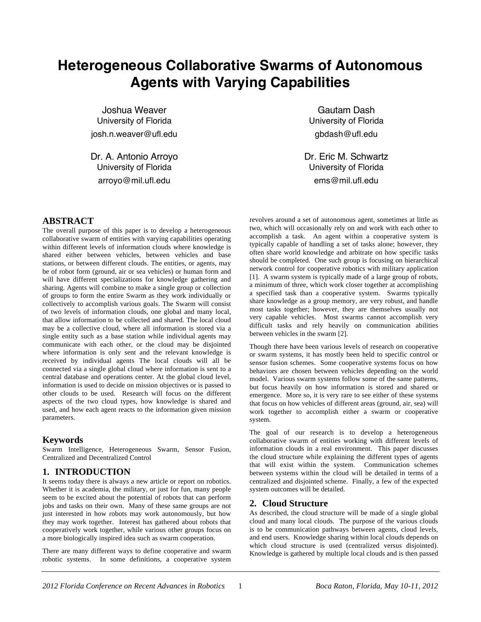# **Heterogeneous Collaborative Swarms of Autonomous Agents with Varying Capabilities**

Joshua Weaver University of Florida josh.n.weaver@ufl.edu

Dr. A. Antonio Arroyo University of Florida arroyo@mil.ufl.edu

Gautam Dash University of Florida gbdash@ufl.edu

Dr. Eric M. Schwartz University of Florida ems@mil.ufl.edu

## **ABSTRACT**

The overall purpose of this paper is to develop a heterogeneous collaborative swarm of entities with varying capabilities operating within different levels of information clouds where knowledge is shared either between vehicles, between vehicles and base stations, or between different clouds. The entities, or agents, may be of robot form (ground, air or sea vehicles) or human form and will have different specializations for knowledge gathering and sharing. Agents will combine to make a single group or collection of groups to form the entire Swarm as they work individually or collectively to accomplish various goals. The Swarm will consist of two levels of information clouds, one global and many local, that allow information to be collected and shared. The local cloud may be a collective cloud, where all information is stored via a single entity such as a base station while individual agents may communicate with each other, or the cloud may be disjointed where information is only sent and the relevant knowledge is received by individual agents The local clouds will all be connected via a single global cloud where information is sent to a central database and operations center. At the global cloud level, information is used to decide on mission objectives or is passed to other clouds to be used. Research will focus on the different aspects of the two cloud types, how knowledge is shared and used, and how each agent reacts to the information given mission parameters.

#### **Keywords**

Swarm Intelligence, Heterogeneous Swarm, Sensor Fusion, Centralized and Decentralized Control

#### **1. INTRODUCTION**

It seems today there is always a new article or report on robotics. Whether it is academia, the military, or just for fun, many people seem to be excited about the potential of robots that can perform jobs and tasks on their own. Many of these same groups are not just interested in how robots may work autonomously, but how they may work together. Interest has gathered about robots that cooperatively work together, while various other groups focus on a more biologically inspired idea such as swarm cooperation.

There are many different ways to define cooperative and swarm robotic systems. In some definitions, a cooperative system revolves around a set of autonomous agent, sometimes at little as two, which will occasionally rely on and work with each other to accomplish a task. An agent within a cooperative system is typically capable of handling a set of tasks alone; however, they often share world knowledge and arbitrate on how specific tasks should be completed. One such group is focusing on hierarchical network control for cooperative robotics with military application [1]. A swarm system is typically made of a large group of robots, a minimum of three, which work closer together at accomplishing a specified task than a cooperative system. Swarms typically share knowledge as a group memory, are very robust, and handle most tasks together; however, they are themselves usually not very capable vehicles. Most swarms cannot accomplish very difficult tasks and rely heavily on communication abilities between vehicles in the swarm [2].

Though there have been various levels of research on cooperative or swarm systems, it has mostly been held to specific control or sensor fusion schemes. Some cooperative systems focus on how behaviors are chosen between vehicles depending on the world model. Various swarm systems follow some of the same patterns, but focus heavily on how information is stored and shared or emergence. More so, it is very rare to see either of these systems that focus on how vehicles of different areas (ground, air, sea) will work together to accomplish either a swarm or cooperative system.

The goal of our research is to develop a heterogeneous collaborative swarm of entities working with different levels of information clouds in a real environment. This paper discusses the cloud structure while explaining the different types of agents that will exist within the system. Communication schemes between systems within the cloud will be detailed in terms of a centralized and disjointed scheme. Finally, a few of the expected system outcomes will be detailed.

#### **2. Cloud Structure**

As described, the cloud structure will be made of a single global cloud and many local clouds. The purpose of the various clouds is to be communication pathways between agents, cloud levels, and end users. Knowledge sharing within local clouds depends on which cloud structure is used (centralized versus disjointed). Knowledge is gathered by multiple local clouds and is then passed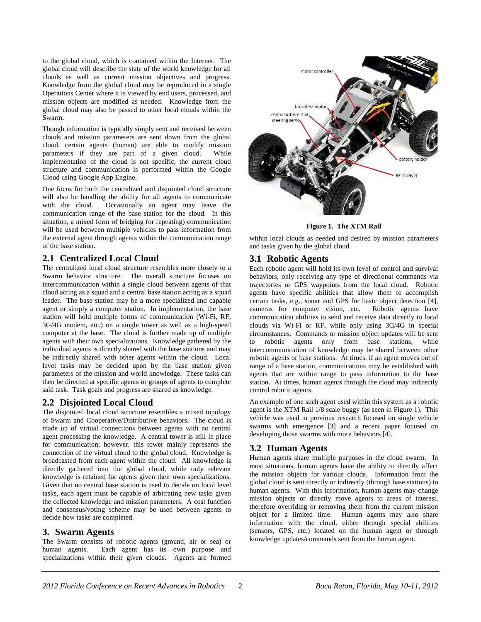to the global cloud, which is contained within the Internet. The global cloud will describe the state of the world knowledge for all clouds as well as current mission objectives and progress. Knowledge from the global cloud may be reproduced in a single Operations Center where it is viewed by end users, processed, and mission objects are modified as needed. Knowledge from the global cloud may also be passed to other local clouds within the Swarm.

Though information is typically simply sent and received between clouds and mission parameters are sent down from the global cloud, certain agents (human) are able to modify mission parameters if they are part of a given cloud. While implementation of the cloud is not specific, the current cloud structure and communication is performed within the Google Cloud using Google App Engine.

One focus for both the centralized and disjointed cloud structure will also be handling the ability for all agents to communicate with the cloud. Occasionally an agent may leave the communication range of the base station for the cloud. In this situation, a mixed form of bridging (or repeating) communication will be used between multiple vehicles to pass information from the external agent through agents within the communication range of the base station.

#### **2.1 Centralized Local Cloud**

The centralized local cloud structure resembles more closely to a Swarm behavior structure. The overall structure focuses on intercommunication within a single cloud between agents of that cloud acting as a squad and a central base station acting as a squad leader. The base station may be a more specialized and capable agent or simply a computer station. In implementation, the base station will hold multiple forms of communication (Wi-Fi, RF, 3G/4G modem, etc.) on a single tower as well as a high-speed computer at the base. The cloud is further made up of multiple agents with their own specializations. Knowledge gathered by the individual agents is directly shared with the base stations and may be indirectly shared with other agents within the cloud. Local level tasks may be decided upon by the base station given parameters of the mission and world knowledge. These tasks can then be directed at specific agents or groups of agents to complete said task. Task goals and progress are shared as knowledge.

#### **2.2 Disjointed Local Cloud**

The disjointed local cloud structure resembles a mixed topology of Swarm and Cooperative/Distributive behaviors. The cloud is made up of virtual connections between agents with no central agent processing the knowledge. A central tower is still in place for communication; however, this tower mainly represents the connection of the virtual cloud to the global cloud. Knowledge is broadcasted from each agent within the cloud. All knowledge is directly gathered into the global cloud, while only relevant knowledge is retained for agents given their own specializations. Given that no central base station is used to decide on local level tasks, each agent must be capable of arbitrating new tasks given the collected knowledge and mission parameters. A cost function and consensus/voting scheme may be used between agents to decide how tasks are completed.

#### **3. Swarm Agents**

The Swarm consists of robotic agents (ground, air or sea) or human agents. Each agent has its own purpose and specializations within their given clouds. Agents are formed



**Figure 1. The XTM Rail** 

within local clouds as needed and desired by mission parameters and tasks given by the global cloud.

## **3.1 Robotic Agents**

Each robotic agent will hold its own level of control and survival behaviors, only receiving any type of directional commands via trajectories or GPS waypoints from the local cloud. Robotic agents have specific abilities that allow them to accomplish certain tasks, e.g., sonar and GPS for basic object detection [4], cameras for computer vision, etc. Robotic agents have communication abilities to send and receive data directly to local clouds via Wi-Fi or RF, while only using 3G/4G in special circumstances. Commands or mission object updates will be sent to robotic agents only from base stations, while intercommunication of knowledge may be shared between other robotic agents or base stations. At times, if an agent moves out of range of a base station, communications may be established with agents that are within range to pass information to the base station. At times, human agents through the cloud may indirectly control robotic agents.

An example of one such agent used within this system as a robotic agent is the XTM Rail 1/8 scale buggy (as seen in Figure 1). This vehicle was used in previous research focused on single vehicle swarms with emergence [3] and a recent paper focused on developing those swarms with more behaviors [4].

## **3.2 Human Agents**

Human agents share multiple purposes in the cloud swarm. In most situations, human agents have the ability to directly affect the mission objects for various clouds. Information from the global cloud is sent directly or indirectly (through base stations) to human agents. With this information, human agents may change mission objects or directly move agents to areas of interest, therefore overriding or removing them from the current mission object for a limited time. Human agents may also share information with the cloud, either through special abilities (sensors, GPS, etc.) located on the human agent or through knowledge updates/commands sent from the human agent.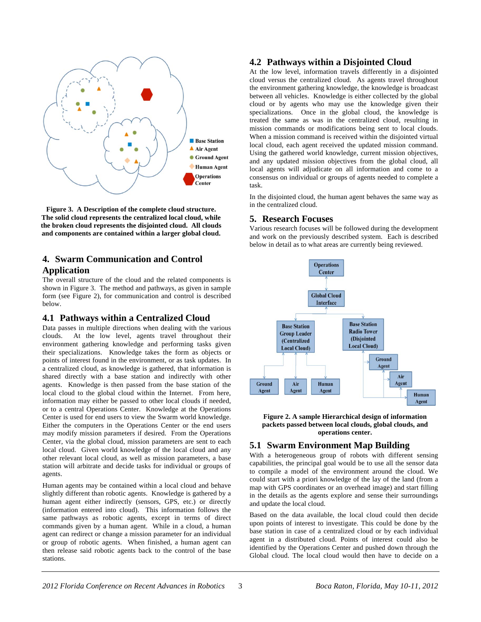

**Figure 3. A Description of the complete cloud structure. The solid cloud represents the centralized local cloud, while the broken cloud represents the disjointed cloud. All clouds and components are contained within a larger global cloud.** 

# **4. Swarm Communication and Control Application**

The overall structure of the cloud and the related components is shown in Figure 3. The method and pathways, as given in sample form (see Figure 2), for communication and control is described below.

#### **4.1 Pathways within a Centralized Cloud**

Data passes in multiple directions when dealing with the various clouds. At the low level, agents travel throughout their environment gathering knowledge and performing tasks given their specializations. Knowledge takes the form as objects or points of interest found in the environment, or as task updates. In a centralized cloud, as knowledge is gathered, that information is shared directly with a base station and indirectly with other agents. Knowledge is then passed from the base station of the local cloud to the global cloud within the Internet. From here, information may either be passed to other local clouds if needed, or to a central Operations Center. Knowledge at the Operations Center is used for end users to view the Swarm world knowledge. Either the computers in the Operations Center or the end users may modify mission parameters if desired. From the Operations Center, via the global cloud, mission parameters are sent to each local cloud. Given world knowledge of the local cloud and any other relevant local cloud, as well as mission parameters, a base station will arbitrate and decide tasks for individual or groups of agents.

Human agents may be contained within a local cloud and behave slightly different than robotic agents. Knowledge is gathered by a human agent either indirectly (sensors, GPS, etc.) or directly (information entered into cloud). This information follows the same pathways as robotic agents, except in terms of direct commands given by a human agent. While in a cloud, a human agent can redirect or change a mission parameter for an individual or group of robotic agents. When finished, a human agent can then release said robotic agents back to the control of the base stations.

#### **4.2 Pathways within a Disjointed Cloud**

At the low level, information travels differently in a disjointed cloud versus the centralized cloud. As agents travel throughout the environment gathering knowledge, the knowledge is broadcast between all vehicles. Knowledge is either collected by the global cloud or by agents who may use the knowledge given their specializations. Once in the global cloud, the knowledge is treated the same as was in the centralized cloud, resulting in mission commands or modifications being sent to local clouds. When a mission command is received within the disjointed virtual local cloud, each agent received the updated mission command. Using the gathered world knowledge, current mission objectives, and any updated mission objectives from the global cloud, all local agents will adjudicate on all information and come to a consensus on individual or groups of agents needed to complete a task.

In the disjointed cloud, the human agent behaves the same way as in the centralized cloud.

#### **5. Research Focuses**

Various research focuses will be followed during the development and work on the previously described system. Each is described below in detail as to what areas are currently being reviewed.





## **5.1 Swarm Environment Map Building**

With a heterogeneous group of robots with different sensing capabilities, the principal goal would be to use all the sensor data to compile a model of the environment around the cloud. We could start with a priori knowledge of the lay of the land (from a map with GPS coordinates or an overhead image) and start filling in the details as the agents explore and sense their surroundings and update the local cloud.

Based on the data available, the local cloud could then decide upon points of interest to investigate. This could be done by the base station in case of a centralized cloud or by each individual agent in a distributed cloud. Points of interest could also be identified by the Operations Center and pushed down through the Global cloud. The local cloud would then have to decide on a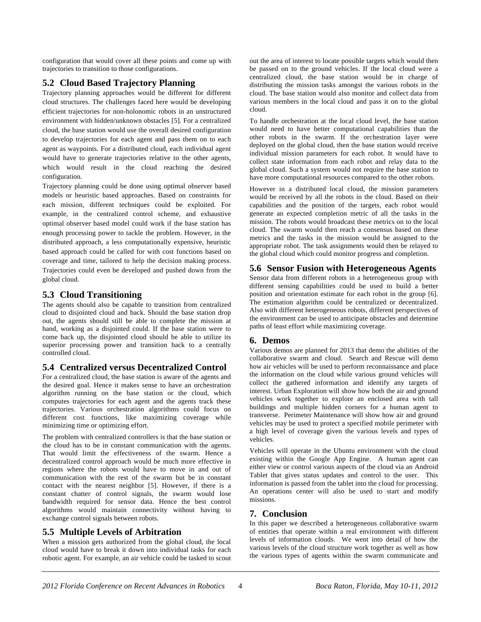configuration that would cover all these points and come up with trajectories to transition to those configurations.

# **5.2 Cloud Based Trajectory Planning**

Trajectory planning approaches would be different for different cloud structures. The challenges faced here would be developing efficient trajectories for non-holonomic robots in an unstructured environment with hidden/unknown obstacles [5]. For a centralized cloud, the base station would use the overall desired configuration to develop trajectories for each agent and pass them on to each agent as waypoints. For a distributed cloud, each individual agent would have to generate trajectories relative to the other agents, which would result in the cloud reaching the desired configuration.

Trajectory planning could be done using optimal observer based models or heuristic based approaches. Based on constraints for each mission, different techniques could be exploited. For example, in the centralized control scheme, and exhaustive optimal observer based model could work if the base station has enough processing power to tackle the problem. However, in the distributed approach, a less computationally expensive, heuristic based approach could be called for with cost functions based on coverage and time, tailored to help the decision making process. Trajectories could even be developed and pushed down from the global cloud.

## **5.3 Cloud Transitioning**

The agents should also be capable to transition from centralized cloud to disjointed cloud and back. Should the base station drop out, the agents should still be able to complete the mission at hand, working as a disjointed could. If the base station were to come back up, the disjointed cloud should be able to utilize its superior processing power and transition back to a centrally controlled cloud.

# **5.4 Centralized versus Decentralized Control**

For a centralized cloud, the base station is aware of the agents and the desired goal. Hence it makes sense to have an orchestration algorithm running on the base station or the cloud, which computes trajectories for each agent and the agents track these trajectories. Various orchestration algorithms could focus on different cost functions, like maximizing coverage while minimizing time or optimizing effort.

The problem with centralized controllers is that the base station or the cloud has to be in constant communication with the agents. That would limit the effectiveness of the swarm. Hence a decentralized control approach would be much more effective in regions where the robots would have to move in and out of communication with the rest of the swarm but be in constant contact with the nearest neighbor [5]. However, if there is a constant chatter of control signals, the swarm would lose bandwidth required for sensor data. Hence the best control algorithms would maintain connectivity without having to exchange control signals between robots.

## **5.5 Multiple Levels of Arbitration**

When a mission gets authorized from the global cloud, the local cloud would have to break it down into individual tasks for each robotic agent. For example, an air vehicle could be tasked to scout

out the area of interest to locate possible targets which would then be passed on to the ground vehicles. If the local cloud were a centralized cloud, the base station would be in charge of distributing the mission tasks amongst the various robots in the cloud. The base station would also monitor and collect data from various members in the local cloud and pass it on to the global cloud.

To handle orchestration at the local cloud level, the base station would need to have better computational capabilities than the other robots in the swarm. If the orchestration layer were deployed on the global cloud, then the base station would receive individual mission parameters for each robot. It would have to collect state information from each robot and relay data to the global cloud. Such a system would not require the base station to have more computational resources compared to the other robots.

However in a distributed local cloud, the mission parameters would be received by all the robots in the cloud. Based on their capabilities and the position of the targets, each robot would generate an expected completion metric of all the tasks in the mission. The robots would broadcast these metrics on to the local cloud. The swarm would then reach a consensus based on these metrics and the tasks in the mission would be assigned to the appropriate robot. The task assignments would then be relayed to the global cloud which could monitor progress and completion.

# **5.6 Sensor Fusion with Heterogeneous Agents**

Sensor data from different robots in a heterogeneous group with different sensing capabilities could be used to build a better position and orientation estimate for each robot in the group [6]. The estimation algorithm could be centralized or decentralized. Also with different heterogeneous robots, different perspectives of the environment can be used to anticipate obstacles and determine paths of least effort while maximizing coverage.

#### **6. Demos**

Various demos are planned for 2013 that demo the abilities of the collaborative swarm and cloud. Search and Rescue will demo how air vehicles will be used to perform reconnaissance and place the information on the cloud while various ground vehicles will collect the gathered information and identify any targets of interest. Urban Exploration will show how both the air and ground vehicles work together to explore an enclosed area with tall buildings and multiple hidden corners for a human agent to transverse. Perimeter Maintenance will show how air and ground vehicles may be used to protect a specified mobile perimeter with a high level of coverage given the various levels and types of vehicles.

Vehicles will operate in the Ubuntu environment with the cloud existing within the Google App Engine. A human agent can either view or control various aspects of the cloud via an Android Tablet that gives status updates and control to the user. This information is passed from the tablet into the cloud for processing. An operations center will also be used to start and modify missions.

## **7. Conclusion**

In this paper we described a heterogeneous collaborative swarm of entities that operate within a real environment with different levels of information clouds. We went into detail of how the various levels of the cloud structure work together as well as how the various types of agents within the swarm communicate and